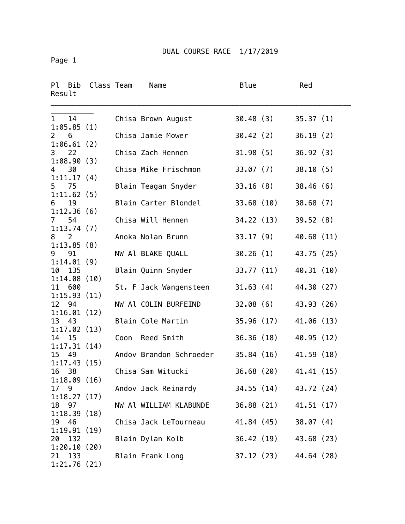Page 1

| Ρl<br>Bib<br>Result              | Class Team |      | Name                    | Blue      |            | Red        |  |
|----------------------------------|------------|------|-------------------------|-----------|------------|------------|--|
| $\mathbf{1}$<br>14<br>1:05.85(1) |            |      | Chisa Brown August      | 30.48(3)  |            | 35.37(1)   |  |
| 6<br>$\mathbf{2}$<br>1:06.61(2)  |            |      | Chisa Jamie Mower       | 30.42(2)  |            | 36.19(2)   |  |
| 3<br>22<br>1:08.90(3)            |            |      | Chisa Zach Hennen       | 31.98(5)  |            | 36.92(3)   |  |
| 30<br>4                          |            |      | Chisa Mike Frischmon    | 33.07(7)  |            | 38.10(5)   |  |
| 1:11.17(4)<br>5 75               |            |      | Blain Teagan Snyder     | 33.16(8)  |            | 38.46(6)   |  |
| 1:11.62(5)<br>19<br>6            |            |      | Blain Carter Blondel    |           | 33.68 (10) | 38.68(7)   |  |
| 1:12.36(6)<br>54<br>7            |            |      | Chisa Will Hennen       |           | 34.22 (13) | 39.52(8)   |  |
| 1:13.74(7)<br>2<br>8             |            |      | Anoka Nolan Brunn       | 33.17(9)  |            | 40.68 (11) |  |
| 1:13.85(8)<br>9<br>91            |            |      | NW Al BLAKE QUALL       | 30.26(1)  |            | 43.75 (25) |  |
| 1:14.01(9)<br>135<br>10          |            |      | Blain Quinn Snyder      |           | 33.77 (11) | 40.31 (10) |  |
| 1:14.08(10)<br>11<br>600         |            |      | St. F Jack Wangensteen  | 31.63(4)  |            | 44.30 (27) |  |
| 1:15.93(11)<br>12<br>94          |            |      | NW Al COLIN BURFEIND    | 32.08(6)  |            | 43.93 (26) |  |
| 1:16.01(12)<br>13<br>43          |            |      | Blain Cole Martin       | 35.96(17) |            | 41.06 (13) |  |
| 1:17.02(13)                      |            |      |                         |           |            |            |  |
| 14<br>15<br>1:17.31(14)          |            | Coon | Reed Smith              |           | 36.36 (18) | 40.95 (12) |  |
| 49<br>15<br>1:17.43(15)          |            |      | Andov Brandon Schroeder |           | 35.84 (16) | 41.59 (18) |  |
| 16<br>38<br>1:18.09(16)          |            |      | Chisa Sam Witucki       | 36.68(20) |            | 41.41 (15) |  |
| 17<br>- 9<br>1:18.27(17)         |            |      | Andov Jack Reinardy     |           | 34.55 (14) | 43.72 (24) |  |
| 18<br>97<br>1:18.39(18)          |            |      | NW Al WILLIAM KLABUNDE  |           | 36.88 (21) | 41.51 (17) |  |
| 46<br>19<br>1:19.91(19)          |            |      | Chisa Jack LeTourneau   |           | 41.84 (45) | 38.07(4)   |  |
| 132<br>20<br>1:20.10(20)         |            |      | Blain Dylan Kolb        |           | 36.42 (19) | 43.68 (23) |  |
| 133<br>21<br>1:21.76(21)         |            |      | Blain Frank Long        |           | 37.12 (23) | 44.64 (28) |  |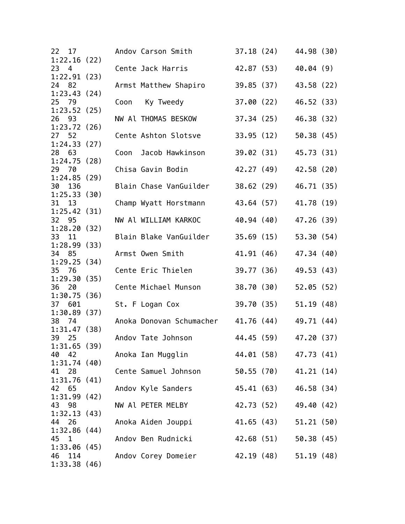| 22 17                    |      | Andov Carson Smith                         | 37.18 (24) |                       | 44.98 (30) |  |
|--------------------------|------|--------------------------------------------|------------|-----------------------|------------|--|
| 1:22.16(22)<br>23<br>4   |      | Cente Jack Harris                          |            | 42.87 (53)            | 40.04(9)   |  |
| 1:22.91(23)<br>24 82     |      | Armst Matthew Shapiro                      |            | 39.85 (37)            | 43.58 (22) |  |
| 1:23.43(24)<br>25 79     | Coon | Ky Tweedy                                  |            | 37.00 (22)            | 46.52 (33) |  |
| 1:23.52(25)<br>26<br>93  |      | NW Al THOMAS BESKOW                        | 37.34(25)  |                       | 46.38 (32) |  |
| 1:23.72(26)<br>27 52     |      | Cente Ashton Slotsve                       |            | 33.95 (12)            | 50.38(45)  |  |
| 1:24.33(27)<br>28 63     | Coon | Jacob Hawkinson                            | 39.02 (31) |                       | 45.73 (31) |  |
| 1:24.75(28)<br>29 70     |      | Chisa Gavin Bodin                          |            | 42.27 (49)            | 42.58 (20) |  |
| 1:24.85(29)<br>30<br>136 |      | Blain Chase VanGuilder                     |            | 38.62 (29)            | 46.71 (35) |  |
| 1:25.33(30)<br>31<br>13  |      | Champ Wyatt Horstmann                      |            | 43.64 (57)            | 41.78 (19) |  |
| 1:25.42(31)<br>32 95     |      | NW Al WILLIAM KARKOC                       |            | 40.94 (40)            | 47.26 (39) |  |
| 1:28.20(32)              |      |                                            |            |                       |            |  |
| 33<br>11<br>1:28.99(33)  |      | Blain Blake VanGuilder                     | 35.69(15)  |                       | 53.30 (54) |  |
| 34<br>85<br>1:29.25(34)  |      | Armst Owen Smith                           | 41.91 (46) |                       | 47.34 (40) |  |
| 35 76<br>1:29.30(35)     |      | Cente Eric Thielen                         | 39.77 (36) |                       | 49.53 (43) |  |
| 36 20<br>1:30.75(36)     |      | Cente Michael Munson                       | 38.70 (30) |                       | 52.05(52)  |  |
| 37 601<br>1:30.89(37)    |      | St. F Logan Cox                            |            | 39.70 (35)            | 51.19(48)  |  |
| 38 74<br>1:31.47(38)     |      | Anoka Donovan Schumacher                   |            | 41.76 (44)            | 49.71 (44) |  |
| 39<br>25<br>1:31.65(39)  |      | Andov Tate Johnson                         |            | 44.45 (59)            | 47.20 (37) |  |
| 40<br>42<br>1:31.74(40)  |      | Anoka Ian Mugglin                          |            | 44.01 (58) 47.73 (41) |            |  |
| 41<br>28<br>1:31.76(41)  |      | Cente Samuel Johnson 50.55 (70) 41.21 (14) |            |                       |            |  |
| 42<br>65                 |      | Andov Kyle Sanders 45.41 (63) 46.58 (34)   |            |                       |            |  |
| 1:31.99(42)<br>43<br>98  |      | NW Al PETER MELBY                          |            | 42.73 (52) 49.40 (42) |            |  |
| 1:32.13(43)<br>44<br>26  |      | Anoka Aiden Jouppi                         |            | 41.65 (43) 51.21 (50) |            |  |
| 1:32.86(44)<br>45 1      |      | Andov Ben Rudnicki                         |            | 42.68 (51)            | 50.38(45)  |  |
| 1:33.06(45)<br>46<br>114 |      | Andov Corey Domeier                        |            | 42.19 (48) 51.19 (48) |            |  |
| 1:33.38(46)              |      |                                            |            |                       |            |  |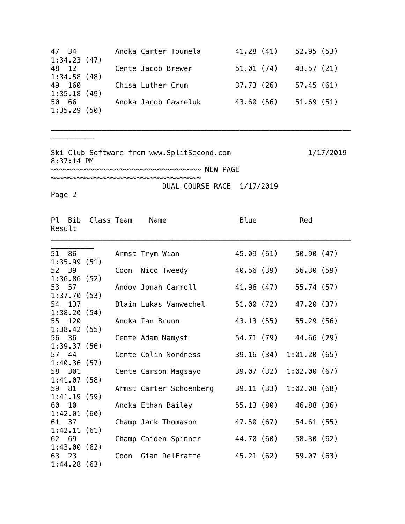| 47 34       | Anoka Carter Toumela | 41.28 (41)             | 52.95(53) |
|-------------|----------------------|------------------------|-----------|
| 1:34.23(47) |                      |                        |           |
| 48 12       | Cente Jacob Brewer   | $51.01(74)$ 43.57 (21) |           |
| 1:34.58(48) |                      |                        |           |
| 49 160      | Chisa Luther Crum    | 37.73 (26)             | 57.45(61) |
| 1:35.18(49) |                      |                        |           |
| 50 66       | Anoka Jacob Gawreluk | 43.60 (56)             | 51.69(51) |
| 1:35.29(50) |                      |                        |           |

\_\_\_\_\_\_\_\_\_\_\_\_\_\_\_\_\_\_\_\_\_\_\_\_\_\_\_\_\_\_\_\_\_\_\_\_\_\_\_\_\_\_\_\_\_\_\_\_\_\_\_\_\_\_\_\_\_\_\_\_\_\_\_\_\_\_\_\_\_\_

Ski Club Software from www.SplitSecond.com 1/17/2019 8:37:14 PM

~~~~~~~~~~~~~~~~~~~~~~~~~~~~~~~~~~~ NEW PAGE

~~~~~~~~~~~~~~~~~~~~~~~~~~~~~~~~~~~ DUAL COURSE RACE 1/17/2019

Page 2

\_\_\_\_\_\_\_\_\_\_

| Result | Pl Bib | Class Team  |      | Name                    | Blue       | Red         |  |
|--------|--------|-------------|------|-------------------------|------------|-------------|--|
| 51 86  |        |             |      | Armst Trym Wian         | 45.09 (61) | 50.90(47)   |  |
|        |        | 1:35.99(51) |      |                         |            |             |  |
| 52 39  |        |             |      | Coon Nico Tweedy        | 40.56 (39) | 56.30 (59)  |  |
|        |        | 1:36.86(52) |      |                         |            |             |  |
| 53 57  |        |             |      | Andov Jonah Carroll     | 41.96 (47) | 55.74 (57)  |  |
|        |        | 1:37.70(53) |      |                         |            |             |  |
|        | 54 137 |             |      | Blain Lukas Vanwechel   | 51.00 (72) | 47.20 (37)  |  |
|        |        | 1:38.20(54) |      |                         |            |             |  |
|        | 55 120 |             |      | Anoka Ian Brunn         | 43.13 (55) | 55.29 (56)  |  |
|        |        | 1:38.42(55) |      |                         |            |             |  |
| 56 36  |        |             |      | Cente Adam Namyst       | 54.71 (79) | 44.66 (29)  |  |
|        |        | 1:39.37(56) |      |                         |            |             |  |
| 57 44  |        |             |      | Cente Colin Nordness    | 39.16 (34) | 1:01.20(65) |  |
|        | 58 301 | 1:40.36(57) |      |                         | 39.07 (32) | 1:02.00(67) |  |
|        |        | 1:41.07(58) |      | Cente Carson Magsayo    |            |             |  |
| 59     | 81     |             |      | Armst Carter Schoenberg | 39.11 (33) | 1:02.08(68) |  |
|        |        | 1:41.19(59) |      |                         |            |             |  |
| 60     | 10     |             |      | Anoka Ethan Bailey      | 55.13 (80) | 46.88 (36)  |  |
|        |        | 1:42.01(60) |      |                         |            |             |  |
| 61 37  |        |             |      | Champ Jack Thomason     | 47.50 (67) | 54.61 (55)  |  |
|        |        | 1:42.11(61) |      |                         |            |             |  |
| 62 69  |        |             |      | Champ Caiden Spinner    | 44.70 (60) | 58.30 (62)  |  |
|        |        | 1:43.00(62) |      |                         |            |             |  |
| 63 23  |        |             | Coon | Gian DelFratte          | 45.21 (62) | 59.07(63)   |  |
|        |        | 1:44.28(63) |      |                         |            |             |  |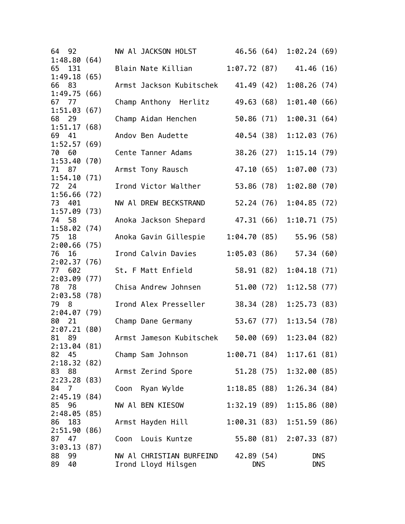| 64 92                               |  | NW Al JACKSON HOLST                             |                           | 46.56 (64) 1:02.24 (69)  |  |
|-------------------------------------|--|-------------------------------------------------|---------------------------|--------------------------|--|
| 1:48.80(64)<br>65<br>131            |  | Blain Nate Killian                              | $1:07.72(87)$ $41.46(16)$ |                          |  |
| 1:49.18(65)<br>66 83                |  | Armst Jackson Kubitschek 41.49 (42)             |                           | 1:08.26(74)              |  |
| 1:49.75(66)<br>67 77                |  | Champ Anthony Herlitz                           | 49.63 (68)                | 1:01.40(66)              |  |
| 1:51.03(67)<br>68 29                |  | Champ Aidan Henchen                             | 50.86(71)                 | 1:00.31(64)              |  |
| 1:51.17(68)<br>69 41                |  | Andov Ben Audette                               | 40.54 (38)                | 1:12.03(76)              |  |
| 1:52.57(69)<br>70 60                |  | Cente Tanner Adams                              | 38.26(27)                 | 1:15.14(79)              |  |
| 1:53.40(70)<br>71 87                |  | Armst Tony Rausch                               | 47.10 (65)                | 1:07.00(73)              |  |
| 1:54.10(71)<br>72 24                |  | Irond Victor Walther                            | 53.86 (78)                | 1:02.80(70)              |  |
| 1:56.66(72)<br>73 401               |  | NW Al DREW BECKSTRAND                           | 52.24 (76)                | 1:04.85(72)              |  |
| 1:57.09(73)<br>74 58                |  | Anoka Jackson Shepard                           |                           | 47.31 (66) 1:10.71 (75)  |  |
| 1:58.02(74)<br>75 18                |  | Anoka Gavin Gillespie                           | 1:04.70(85)               | 55.96(58)                |  |
| 2:00.66(75)<br>16<br>76             |  | Irond Calvin Davies                             |                           | $1:05.03(86)$ 57.34 (60) |  |
| 2:02.37(76)<br>77 602               |  | St. F Matt Enfield                              | 58.91 (82)                | 1:04.18(71)              |  |
| 2:03.09(77)<br>78 78                |  | Chisa Andrew Johnsen                            | 51.00 (72)                | 1:12.58(77)              |  |
| 2:03.58(78)<br>79 8                 |  | Irond Alex Presseller                           | 38.34(28)                 | 1:25.73(83)              |  |
| 2:04.07(79)<br>80<br>21             |  | Champ Dane Germany                              |                           | 53.67 (77) 1:13.54 (78)  |  |
| 2:07.21(80)<br>81 89                |  | Armst Jameson Kubitschek                        | 50.00 (69)                | 1:23.04(82)              |  |
| 2:13.04(81)<br>82<br>45             |  | Champ Sam Johnson                               |                           | 1:00.71(84)1:17.61(81)   |  |
| 2:18.32(82)<br>83 88                |  | Armst Zerind Spore                              | 51.28(75)                 | 1:32.00(85)              |  |
| 2:23.28(83)<br>84 7                 |  | Coon Ryan Wylde                                 | 1:18.85(88)               | 1:26.34(84)              |  |
| 2:45.19(84)<br>85<br>96             |  | NW Al BEN KIESOW                                | 1:32.19(89)               | 1:15.86(80)              |  |
| 2:48.05(85)<br>183<br>86            |  | Armst Hayden Hill                               | 1:00.31(83)               | 1:51.59(86)              |  |
| 2:51.90(86)<br>87 47                |  | Coon Louis Kuntze                               |                           | 55.80 (81) 2:07.33 (87)  |  |
| 3:03.13(87)<br>88<br>99<br>89<br>40 |  | NW Al CHRISTIAN BURFEIND<br>Irond Lloyd Hilsgen | 42.89 (54)<br><b>DNS</b>  | <b>DNS</b><br><b>DNS</b> |  |